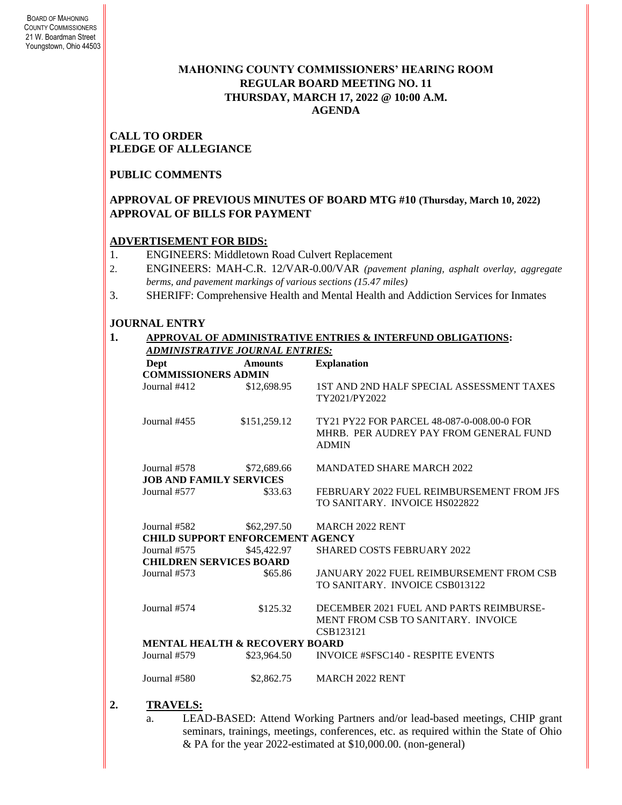### **MAHONING COUNTY COMMISSIONERS' HEARING ROOM REGULAR BOARD MEETING NO. 11 THURSDAY***,* **MARCH 17, 2022 @ 10:00 A.M. AGENDA**

**CALL TO ORDER PLEDGE OF ALLEGIANCE**

#### **PUBLIC COMMENTS**

#### **APPROVAL OF PREVIOUS MINUTES OF BOARD MTG #10 (Thursday, March 10, 2022) APPROVAL OF BILLS FOR PAYMENT**

#### **ADVERTISEMENT FOR BIDS:**

- 1. ENGINEERS: Middletown Road Culvert Replacement
- 2. ENGINEERS: MAH-C.R. 12/VAR-0.00/VAR *(pavement planing, asphalt overlay, aggregate berms, and pavement markings of various sections (15.47 miles)*
- 3. SHERIFF: Comprehensive Health and Mental Health and Addiction Services for Inmates

#### **JOURNAL ENTRY**

**1. APPROVAL OF ADMINISTRATIVE ENTRIES & INTERFUND OBLIGATIONS:** 

| Dept                           | <b>Amounts</b>                            | <b>Explanation</b>                                                                                   |
|--------------------------------|-------------------------------------------|------------------------------------------------------------------------------------------------------|
| <b>COMMISSIONERS ADMIN</b>     |                                           |                                                                                                      |
| Journal #412                   | \$12,698.95                               | 1ST AND 2ND HALF SPECIAL ASSESSMENT TAXES<br>TY2021/PY2022                                           |
| Journal #455                   | \$151,259.12                              | TY21 PY22 FOR PARCEL 48-087-0-008.00-0 FOR<br>MHRB. PER AUDREY PAY FROM GENERAL FUND<br><b>ADMIN</b> |
| Journal #578                   | \$72,689.66                               | <b>MANDATED SHARE MARCH 2022</b>                                                                     |
| <b>JOB AND FAMILY SERVICES</b> |                                           |                                                                                                      |
| Journal #577                   | \$33.63                                   | FEBRUARY 2022 FUEL REIMBURSEMENT FROM JFS                                                            |
|                                |                                           | TO SANITARY. INVOICE HS022822                                                                        |
| Journal #582                   | \$62,297.50                               | <b>MARCH 2022 RENT</b>                                                                               |
|                                | <b>CHILD SUPPORT ENFORCEMENT AGENCY</b>   |                                                                                                      |
| Journal #575                   | \$45,422.97                               | <b>SHARED COSTS FEBRUARY 2022</b>                                                                    |
| <b>CHILDREN SERVICES BOARD</b> |                                           |                                                                                                      |
| Journal #573                   | \$65.86                                   | <b>JANUARY 2022 FUEL REIMBURSEMENT FROM CSB</b>                                                      |
|                                |                                           | TO SANITARY. INVOICE CSB013122                                                                       |
| Journal #574                   | \$125.32                                  | DECEMBER 2021 FUEL AND PARTS REIMBURSE-                                                              |
|                                |                                           | MENT FROM CSB TO SANITARY. INVOICE                                                                   |
|                                |                                           | CSB123121                                                                                            |
|                                | <b>MENTAL HEALTH &amp; RECOVERY BOARD</b> |                                                                                                      |
| Journal #579                   | \$23,964.50                               | <b>INVOICE #SFSC140 - RESPITE EVENTS</b>                                                             |
| Journal #580                   | \$2,862.75                                | <b>MARCH 2022 RENT</b>                                                                               |

- **2. TRAVELS:**
	- a. LEAD-BASED: Attend Working Partners and/or lead-based meetings, CHIP grant seminars, trainings, meetings, conferences, etc. as required within the State of Ohio & PA for the year 2022-estimated at \$10,000.00. (non-general)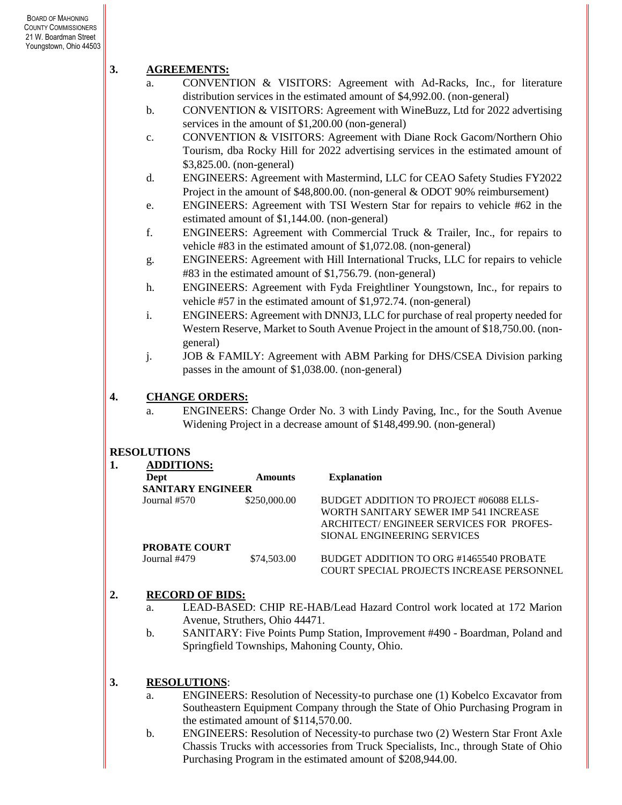# **3. AGREEMENTS:**

- a. CONVENTION & VISITORS: Agreement with Ad-Racks, Inc., for literature distribution services in the estimated amount of \$4,992.00. (non-general)
- b. CONVENTION & VISITORS: Agreement with WineBuzz, Ltd for 2022 advertising services in the amount of \$1,200.00 (non-general)
- c. CONVENTION & VISITORS: Agreement with Diane Rock Gacom/Northern Ohio Tourism, dba Rocky Hill for 2022 advertising services in the estimated amount of \$3,825.00. (non-general)
- d. ENGINEERS: Agreement with Mastermind, LLC for CEAO Safety Studies FY2022 Project in the amount of \$48,800.00. (non-general & ODOT 90% reimbursement)
- e. ENGINEERS: Agreement with TSI Western Star for repairs to vehicle #62 in the estimated amount of \$1,144.00. (non-general)
- f. ENGINEERS: Agreement with Commercial Truck & Trailer, Inc., for repairs to vehicle #83 in the estimated amount of \$1,072.08. (non-general)
- g. ENGINEERS: Agreement with Hill International Trucks, LLC for repairs to vehicle #83 in the estimated amount of \$1,756.79. (non-general)
- h. ENGINEERS: Agreement with Fyda Freightliner Youngstown, Inc., for repairs to vehicle #57 in the estimated amount of \$1,972.74. (non-general)
- i. ENGINEERS: Agreement with DNNJ3, LLC for purchase of real property needed for Western Reserve, Market to South Avenue Project in the amount of \$18,750.00. (nongeneral)
- j. JOB & FAMILY: Agreement with ABM Parking for DHS/CSEA Division parking passes in the amount of \$1,038.00. (non-general)

# **4. CHANGE ORDERS:**

a. ENGINEERS: Change Order No. 3 with Lindy Paving, Inc., for the South Avenue Widening Project in a decrease amount of \$148,499.90. (non-general)

### **RESOLUTIONS**

| <b>ADDITIONS:</b>        |                |                                                  |
|--------------------------|----------------|--------------------------------------------------|
| Dept                     | <b>Amounts</b> | <b>Explanation</b>                               |
| <b>SANITARY ENGINEER</b> |                |                                                  |
| Journal #570             | \$250,000.00   | BUDGET ADDITION TO PROJECT #06088 ELLS-          |
|                          |                | WORTH SANITARY SEWER IMP 541 INCREASE            |
|                          |                | ARCHITECT/ENGINEER SERVICES FOR PROFES-          |
|                          |                | SIONAL ENGINEERING SERVICES                      |
| <b>PROBATE COURT</b>     |                |                                                  |
| Journal #479             | \$74,503.00    | BUDGET ADDITION TO ORG #1465540 PROBATE          |
|                          |                | <b>COURT SPECIAL PROJECTS INCREASE PERSONNEL</b> |

# **2. RECORD OF BIDS:**

- a. LEAD-BASED: CHIP RE-HAB/Lead Hazard Control work located at 172 Marion Avenue, Struthers, Ohio 44471.
- b. SANITARY: Five Points Pump Station, Improvement #490 Boardman, Poland and Springfield Townships, Mahoning County, Ohio.

# **3. RESOLUTIONS**:

- a. ENGINEERS: Resolution of Necessity-to purchase one (1) Kobelco Excavator from Southeastern Equipment Company through the State of Ohio Purchasing Program in the estimated amount of \$114,570.00.
- b. ENGINEERS: Resolution of Necessity-to purchase two (2) Western Star Front Axle Chassis Trucks with accessories from Truck Specialists, Inc., through State of Ohio Purchasing Program in the estimated amount of \$208,944.00.